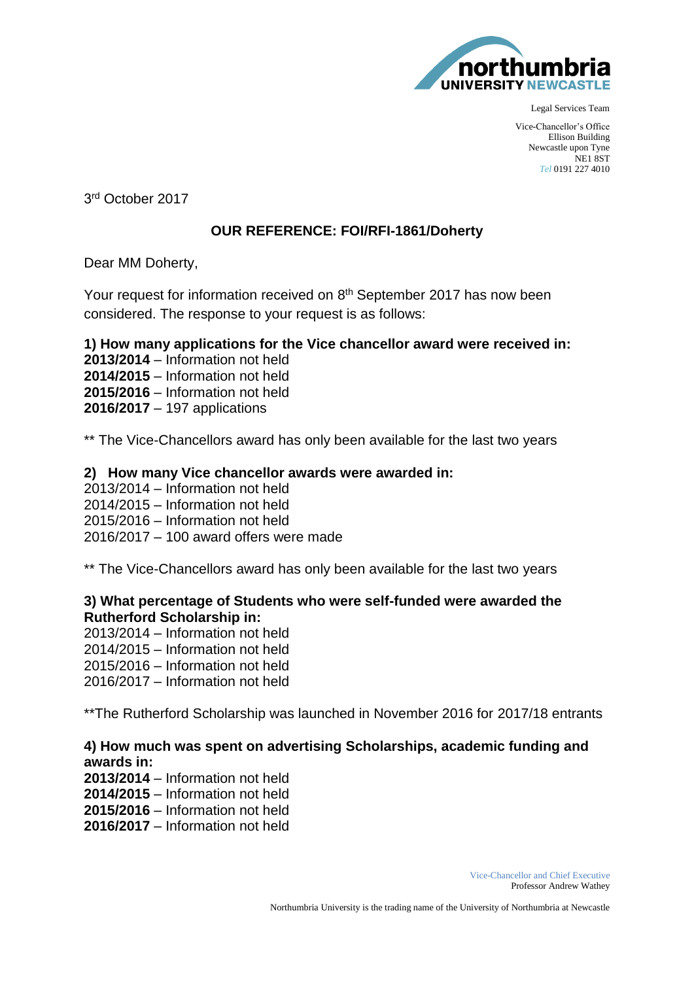

Legal Services Team

Vice-Chancellor's Office Ellison Building Newcastle upon Tyne NE1 8ST *Tel* 0191 227 4010

3 <sup>r</sup><sup>d</sup> October 2017

## **OUR REFERENCE: FOI/RFI-1861/Doherty**

Dear MM Doherty,

Your request for information received on 8<sup>th</sup> September 2017 has now been considered. The response to your request is as follows:

**1) How many applications for the Vice chancellor award were received in: 2013/2014** – Information not held **2014/2015** – Information not held **2015/2016** – Information not held **2016/2017** – 197 applications

\*\* The Vice-Chancellors award has only been available for the last two years

## **2) How many Vice chancellor awards were awarded in:**

2013/2014 – Information not held 2014/2015 – Information not held 2015/2016 – Information not held 2016/2017 – 100 award offers were made

\*\* The Vice-Chancellors award has only been available for the last two years

## **3) What percentage of Students who were self-funded were awarded the Rutherford Scholarship in:**

2013/2014 – Information not held 2014/2015 – Information not held 2015/2016 – Information not held 2016/2017 – Information not held

\*\*The Rutherford Scholarship was launched in November 2016 for 2017/18 entrants

## **4) How much was spent on advertising Scholarships, academic funding and awards in:**

**2013/2014** – Information not held **2014/2015** – Information not held **2015/2016** – Information not held **2016/2017** – Information not held